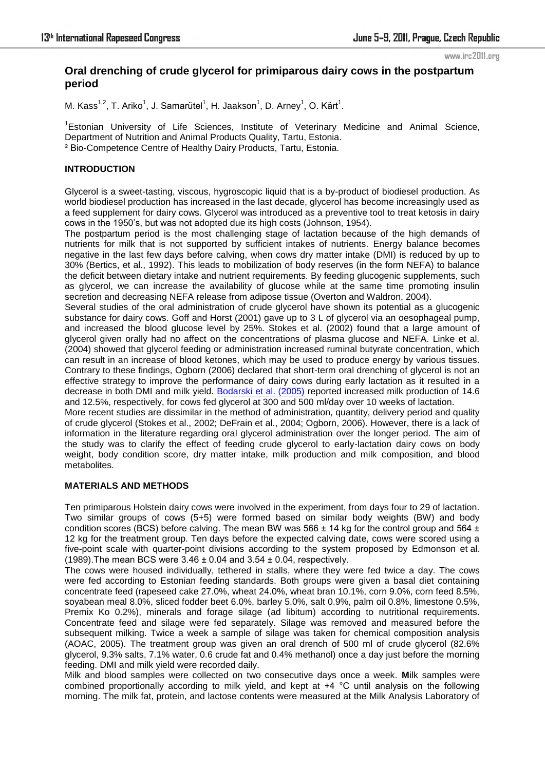www.irc2011.org

# **Oral drenching of crude glycerol for primiparous dairy cows in the postpartum period**

M. Kass<sup>1,2</sup>, T. Ariko<sup>1</sup>, J. Samarütel<sup>1</sup>, H. Jaakson<sup>1</sup>, D. Arney<sup>1</sup>, O. Kärt<sup>1</sup>.

<sup>1</sup>Estonian University of Life Sciences, Institute of Veterinary Medicine and Animal Science, Department of Nutrition and Animal Products Quality, Tartu, Estonia. ² Bio-Competence Centre of Healthy Dairy Products, Tartu, Estonia.

## **INTRODUCTION**

Glycerol is a sweet-tasting, viscous, hygroscopic liquid that is a by-product of biodiesel production. As world biodiesel production has increased in the last decade, glycerol has become increasingly used as a feed supplement for dairy cows. Glycerol was introduced as a preventive tool to treat ketosis in dairy cows in the 1950's, but was not adopted due its high costs (Johnson, 1954).

The postpartum period is the most challenging stage of lactation because of the high demands of nutrients for milk that is not supported by sufficient intakes of nutrients. Energy balance becomes negative in the last few days before calving, when cows dry matter intake (DMI) is reduced by up to 30% (Bertics, et al., 1992). This leads to mobilization of body reserves (in the form NEFA) to balance the deficit between dietary intake and nutrient requirements. By feeding glucogenic supplements, such as glycerol, we can increase the availability of glucose while at the same time promoting insulin secretion and decreasing NEFA release from adipose tissue (Overton and Waldron, 2004).

Several studies of the oral administration of crude glycerol have shown its potential as a glucogenic substance for dairy cows. Goff and Horst (2001) gave up to 3 L of glycerol via an oesophageal pump, and increased the blood glucose level by 25%. Stokes et al. (2002) found that a large amount of glycerol given orally had no affect on the concentrations of plasma glucose and NEFA. Linke et al. (2004) showed that glycerol feeding or administration increased ruminal butyrate concentration, which can result in an increase of blood ketones, which may be used to produce energy by various tissues. Contrary to these findings, Ogborn (2006) declared that short-term oral drenching of glycerol is not an effective strategy to improve the performance of dairy cows during early lactation as it resulted in a decrease in both DMI and milk yield. [Bodarski et al. \(2005\)](http://www.sciencedirect.com/science?_ob=ArticleURL&_udi=B6T42-4V34RGY-1&_user=2728019&_coverDate=05%2F12%2F2009&_rdoc=1&_fmt=high&_orig=gateway&_origin=gateway&_sort=d&_docanchor=&view=c&_searchStrId=1679528708&_rerunOrigin=scholar.google&_acct=C000058628&_version=1&_urlVersion=0&_userid=2728019&md5=af16b0d5fda1c983ca0cc1150491244f&searchtype=a#bib4) reported increased milk production of 14.6 and 12.5%, respectively, for cows fed glycerol at 300 and 500 ml/day over 10 weeks of lactation.

More recent studies are dissimilar in the method of administration, quantity, delivery period and quality of crude glycerol (Stokes et al., 2002; DeFrain et al., 2004; Ogborn, 2006). However, there is a lack of information in the literature regarding oral glycerol administration over the longer period. The aim of the study was to clarify the effect of feeding crude glycerol to early-lactation dairy cows on body weight, body condition score, dry matter intake, milk production and milk composition, and blood metabolites.

## **MATERIALS AND METHODS**

Ten primiparous Holstein dairy cows were involved in the experiment, from days four to 29 of lactation. Two similar groups of cows (5+5) were formed based on similar body weights (BW) and body condition scores (BCS) before calving. The mean BW was 566  $\pm$  14 kg for the control group and 564  $\pm$ 12 kg for the treatment group. Ten days before the expected calving date, cows were scored using a five-point scale with quarter-point divisions according to the system proposed by [Edmonson et al.](http://www3.interscience.wiley.com/cgi-bin/fulltext/118541672/main.html,ftx_abs#b7)  [\(1989\).](http://www3.interscience.wiley.com/cgi-bin/fulltext/118541672/main.html,ftx_abs#b7) The mean BCS were  $3.46 \pm 0.04$  and  $3.54 \pm 0.04$ , respectively.

The cows were housed individually, tethered in stalls, where they were fed twice a day. The cows were fed according to Estonian feeding standards. Both groups were given a basal diet containing concentrate feed (rapeseed cake 27.0%, wheat 24.0%, wheat bran 10.1%, corn 9.0%, corn feed 8.5%, soyabean meal 8.0%, sliced fodder beet 6.0%, barley 5.0%, salt 0.9%, palm oil 0.8%, limestone 0.5%, Premix Ko 0.2%), minerals and forage silage (ad libitum) according to nutritional requirements. Concentrate feed and silage were fed separately. Silage was removed and measured before the subsequent milking. Twice a week a sample of silage was taken for chemical composition analysis (AOAC, 2005). The treatment group was given an oral drench of 500 ml of crude glycerol (82.6% glycerol, 9.3% salts, 7.1% water, 0.6 crude fat and 0.4% methanol) once a day just before the morning feeding. DMI and milk yield were recorded daily.

Milk and blood samples were collected on two consecutive days once a week. **M**ilk samples were combined proportionally according to milk yield, and kept at +4 °C until analysis on the following morning. The milk fat, protein, and lactose contents were measured at the Milk Analysis Laboratory of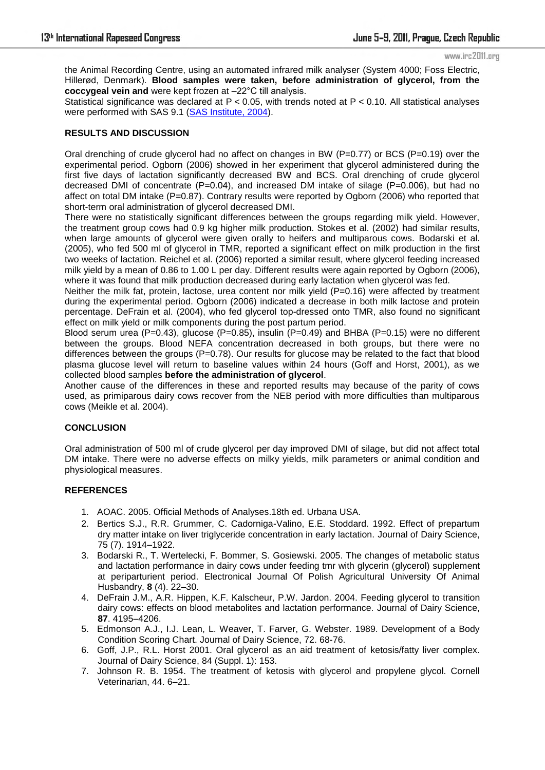#### www.irc2011.org

the Animal Recording Centre, using an automated infrared milk analyser (System 4000; Foss Electric, Hillerød, Denmark). **Blood samples were taken, before administration of glycerol, from the coccygeal vein and** were kept frozen at –22°C till analysis.

Statistical significance was declared at P < 0.05, with trends noted at P < 0.10. All statistical analyses were performed with SAS 9.1 [\(SAS Institute, 2004\)](http://www.sciencedirect.com/science?_ob=ArticleURL&_udi=B6T7C-4PK7P47-1&_user=2728019&_coverDate=02%2F29%2F2008&_rdoc=1&_fmt=high&_orig=gateway&_origin=gateway&_sort=d&_docanchor=&view=c&_searchStrId=1678956030&_rerunOrigin=scholar.google&_acct=C000058628&_version=1&_urlVersion=0&_userid=2728019&md5=2a6616ee12091f274dd596e9b19003c6&searchtype=a#bbib20).

#### **RESULTS AND DISCUSSION**

Oral drenching of crude glycerol had no affect on changes in BW ( $P=0.77$ ) or BCS ( $P=0.19$ ) over the experimental period. Ogborn (2006) showed in her experiment that glycerol administered during the first five days of lactation significantly decreased BW and BCS. Oral drenching of crude glycerol decreased DMI of concentrate  $(P=0.04)$ , and increased DM intake of silage  $(P=0.006)$ , but had no affect on total DM intake (P=0.87). Contrary results were reported by Ogborn (2006) who reported that short-term oral administration of glycerol decreased DMI.

There were no statistically significant differences between the groups regarding milk yield. However, the treatment group cows had 0.9 kg higher milk production. Stokes et al. (2002) had similar results, when large amounts of glycerol were given orally to heifers and multiparous cows. Bodarski et al. (2005), who fed 500 ml of glycerol in TMR, reported a significant effect on milk production in the first two weeks of lactation. Reichel et al. (2006) reported a similar result, where glycerol feeding increased milk yield by a mean of 0.86 to 1.00 L per day. Different results were again reported by Ogborn (2006), where it was found that milk production decreased during early lactation when glycerol was fed.

Neither the milk fat, protein, lactose, urea content nor milk yield (P=0.16) were affected by treatment during the experimental period. Ogborn (2006) indicated a decrease in both milk lactose and protein percentage. DeFrain et al. (2004), who fed glycerol top-dressed onto TMR, also found no significant effect on milk yield or milk components during the post partum period.

Blood serum urea (P=0.43), glucose (P=0.85), insulin (P=0.49) and BHBA (P=0.15) were no different between the groups. Blood NEFA concentration decreased in both groups, but there were no differences between the groups  $(P=0.78)$ . Our results for glucose may be related to the fact that blood plasma glucose level will return to baseline values within 24 hours (Goff and Horst, 2001), as we collected blood samples **before the administration of glycerol**.

Another cause of the differences in these and reported results may because of the parity of cows used, as primiparous dairy cows recover from the NEB period with more difficulties than multiparous cows (Meikle et al. 2004).

## **CONCLUSION**

Oral administration of 500 ml of crude glycerol per day improved DMI of silage, but did not affect total DM intake. There were no adverse effects on milky yields, milk parameters or animal condition and physiological measures.

#### **REFERENCES**

- 1. AOAC. 2005. Official Methods of Analyses.18th ed. Urbana USA.
- 2. Bertics S.J., R.R. Grummer, C. Cadorniga-Valino, E.E. Stoddard. 1992. Effect of prepartum dry matter intake on liver triglyceride concentration in early lactation. Journal of Dairy Science, 75 (7). 1914–1922.
- 3. Bodarski R., T. Wertelecki, F. Bommer, S. Gosiewski. 2005. The changes of metabolic status and lactation performance in dairy cows under feeding tmr with glycerin (glycerol) supplement at periparturient period. Electronical Journal Of Polish Agricultural University Of Animal Husbandry, **8** (4). 22–30.
- 4. DeFrain J.M., A.R. Hippen, K.F. Kalscheur, P.W. Jardon. 2004. Feeding glycerol to transition dairy cows: effects on blood metabolites and lactation performance. Journal of Dairy Science, **87**. 4195–4206.
- 5. Edmonson A.J., I.J. Lean, L. Weaver, T. Farver, G. Webster. 1989. Development of a Body Condition Scoring Chart. Journal of Dairy Science, 72. 68-76.
- 6. Goff, J.P., R.L. Horst 2001. Oral glycerol as an aid treatment of ketosis/fatty liver complex. Journal of Dairy Science, 84 (Suppl. 1): 153.
- 7. Johnson R. B. 1954. The treatment of ketosis with glycerol and propylene glycol. Cornell Veterinarian, 44. 6–21.